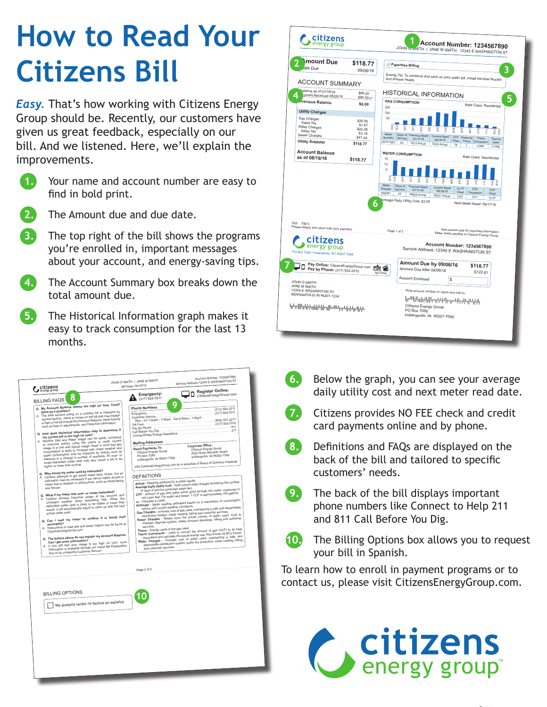## **How to Read Your Citizens Bill**

**Easy.** That's how working with Citizens Energy Group should be. Recently, our customers have given us great feedback, especially on our bill. And we listened. Here, we'll explain the improvements.

1.

Your name and account number are easy to find in bold print.



The Amount due and due date.

**3.** The top right of the bill shows the programs you're enrolled in, important messages about your account, and energy-saving tips.

4. The Account Summary box breaks down the total amount due.

5.) The Historical Information graph makes it easy to track consumption for the last 13 months.





- $\left( 6. \right)$ Below the graph, you can see your average daily utility cost and next meter read date.
- **7.** Citizens provides NO FEE check and credit card payments online and by phone.
- $(8.)$ Definitions and FAQs are displayed on the back of the bill and tailored to specific customers' needs.
- 9.

The back of the bill displays important phone numbers like Connect to Help 211 and 811 Call Before You Dig.



The Billing Options box allows you to request your bill in Spanish.

To learn how to enroll in payment programs or to contact us, please visit CitizensEnergyGroup.com.